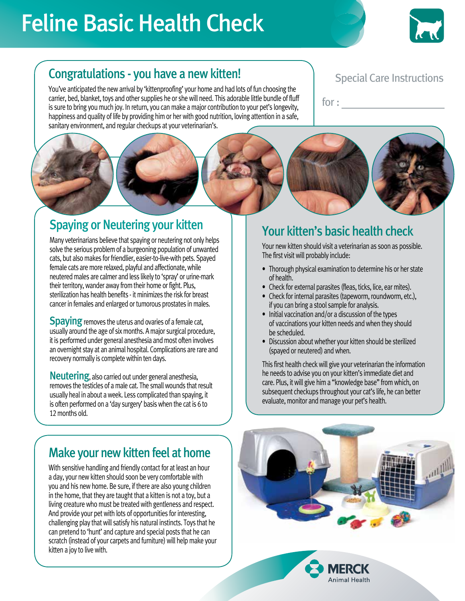# Feline Basic Health Check



### Congratulations - you have a new kitten!

You've anticipated the new arrival by 'kittenproofing' your home and had lots of fun choosing the carrier, bed, blanket, toys and other supplies he or she will need. This adorable little bundle of fluff is sure to bring you much joy. In return, you can make a major contribution to your pet's longevity, happiness and quality of life by providing him or her with good nutrition, loving attention in a safe, sanitary environment, and regular checkups at your veterinarian's.

#### Special Care Instructions

for :

## Spaying or Neutering your kitten

Many veterinarians believe that spaying or neutering not only helps solve the serious problem of a burgeoning population of unwanted cats, but also makes for friendlier, easier-to-live-with pets. Spayed female cats are more relaxed, playful and affectionate, while neutered males are calmer and less likely to 'spray' or urine-mark their territory, wander away from their home or fight. Plus, sterilization has health benefits - it minimizes the risk for breast cancer in females and enlarged or tumorous prostates in males.

**Spaying** removes the uterus and ovaries of a female cat, usually around the age of six months. A major surgical procedure, it is performed under general anesthesia and most often involves an overnight stay at an animal hospital. Complications are rare and recovery normally is complete within ten days.

Neutering, also carried out under general anesthesia, removes the testicles of a male cat. The small wounds that result usually heal in about a week. Less complicated than spaying, it is often performed on a 'day surgery' basis when the cat is 6 to 12 months old.

#### Make your new kitten feel at home

With sensitive handling and friendly contact for at least an hour a day, your new kitten should soon be very comfortable with you and his new home. Be sure, if there are also young children in the home, that they are taught that a kitten is not a toy, but a living creature who must be treated with gentleness and respect. And provide your pet with lots of opportunities for interesting, challenging play that will satisfy his natural instincts. Toys that he can pretend to 'hunt' and capture and special posts that he can scratch (instead of your carpets and furniture) will help make your kitten a joy to live with.

#### Your kitten's basic health check

Your new kitten should visit a veterinarian as soon as possible. The first visit will probably include:

- Thorough physical examination to determine his or her state of health.
- Check for external parasites (fleas, ticks, lice, ear mites).
- Check for internal parasites (tapeworm, roundworm, etc.), if you can bring a stool sample for analysis.
- Initial vaccination and/or a discussion of the types of vaccinations your kitten needs and when they should be scheduled.
- Discussion about whether your kitten should be sterilized (spayed or neutered) and when.

This first health check will give your veterinarian the information he needs to advise you on your kitten's immediate diet and care. Plus, it will give him a "knowledge base" from which, on subsequent checkups throughout your cat's life, he can better evaluate, monitor and manage your pet's health.